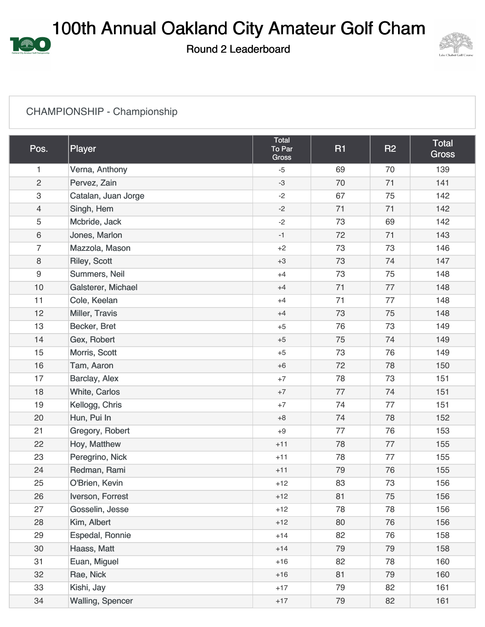100th Annual Oakland City Amateur Golf Cham

Round 2 Leaderboard



## CHAMPIONSHIP - Championship

興

| Pos.                      | Player              | Total<br>To Par<br><b>Gross</b> | <b>R1</b> | <b>R2</b> | Total<br><b>Gross</b> |
|---------------------------|---------------------|---------------------------------|-----------|-----------|-----------------------|
| 1                         | Verna, Anthony      | $-5$                            | 69        | 70        | 139                   |
| $\overline{2}$            | Pervez, Zain        | $-3$                            | 70        | 71        | 141                   |
| $\ensuremath{\mathsf{3}}$ | Catalan, Juan Jorge | $-2$                            | 67        | 75        | 142                   |
| $\overline{4}$            | Singh, Hem          | $-2$                            | 71        | 71        | 142                   |
| 5                         | Mcbride, Jack       | $-2$                            | 73        | 69        | 142                   |
| 6                         | Jones, Marlon       | $-1$                            | 72        | 71        | 143                   |
| $\overline{7}$            | Mazzola, Mason      | $+2$                            | 73        | 73        | 146                   |
| 8                         | <b>Riley, Scott</b> | $+3$                            | 73        | 74        | 147                   |
| 9                         | Summers, Neil       | $+4$                            | 73        | 75        | 148                   |
| 10                        | Galsterer, Michael  | $+4$                            | 71        | 77        | 148                   |
| 11                        | Cole, Keelan        | $+4$                            | 71        | 77        | 148                   |
| 12                        | Miller, Travis      | $+4$                            | 73        | 75        | 148                   |
| 13                        | Becker, Bret        | $+5$                            | 76        | 73        | 149                   |
| 14                        | Gex, Robert         | $+5$                            | 75        | 74        | 149                   |
| 15                        | Morris, Scott       | $+5$                            | 73        | 76        | 149                   |
| 16                        | Tam, Aaron          | $+6$                            | 72        | 78        | 150                   |
| 17                        | Barclay, Alex       | $+7$                            | 78        | 73        | 151                   |
| 18                        | White, Carlos       | $+7$                            | 77        | 74        | 151                   |
| 19                        | Kellogg, Chris      | $+7$                            | 74        | 77        | 151                   |
| 20                        | Hun, Pui In         | $+8$                            | 74        | 78        | 152                   |
| 21                        | Gregory, Robert     | $+9$                            | 77        | 76        | 153                   |
| 22                        | Hoy, Matthew        | $+11$                           | 78        | 77        | 155                   |
| 23                        | Peregrino, Nick     | $+11$                           | 78        | 77        | 155                   |
| 24                        | Redman, Rami        | $+11$                           | 79        | 76        | 155                   |
| 25                        | O'Brien, Kevin      | $+12$                           | 83        | 73        | 156                   |
| 26                        | Iverson, Forrest    | $+12$                           | 81        | 75        | 156                   |
| 27                        | Gosselin, Jesse     | $+12$                           | 78        | 78        | 156                   |
| 28                        | Kim, Albert         | $+12$                           | 80        | 76        | 156                   |
| 29                        | Espedal, Ronnie     | $+14$                           | 82        | 76        | 158                   |
| 30                        | Haass, Matt         | $+14$                           | 79        | 79        | 158                   |
| 31                        | Euan, Miguel        | $+16$                           | 82        | 78        | 160                   |
| 32                        | Rae, Nick           | $+16$                           | 81        | 79        | 160                   |
| 33                        | Kishi, Jay          | $+17$                           | 79        | 82        | 161                   |
| 34                        | Walling, Spencer    | $+17$                           | 79        | 82        | 161                   |